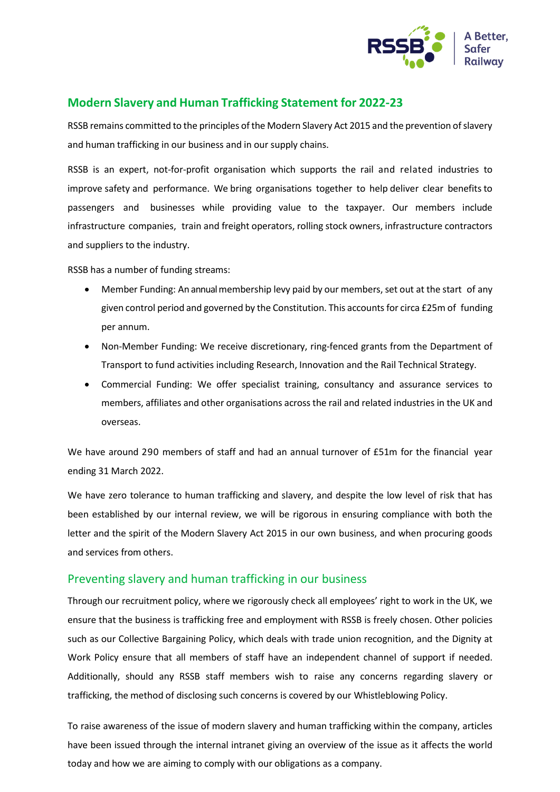

## **Modern Slavery and Human Trafficking Statement for 2022-23**

RSSB remains committed to the principles of the Modern Slavery Act 2015 and the prevention of slavery and human trafficking in our business and in our supply chains.

RSSB is an expert, not-for-profit organisation which supports the rail and related industries to improve safety and performance. We bring organisations together to help deliver clear benefits to passengers and businesses while providing value to the taxpayer. Our members include infrastructure companies, train and freight operators, rolling stock owners, infrastructure contractors and suppliers to the industry.

RSSB has a number of funding streams:

- Member Funding: An annual membership levy paid by our members, set out at the start of any given control period and governed by the Constitution. This accountsfor circa £25m of funding per annum.
- Non-Member Funding: We receive discretionary, ring-fenced grants from the Department of Transport to fund activities including Research, Innovation and the Rail Technical Strategy.
- Commercial Funding: We offer specialist training, consultancy and assurance services to members, affiliates and other organisations across the rail and related industries in the UK and overseas.

We have around 290 members of staff and had an annual turnover of £51m for the financial year ending 31 March 2022.

We have zero tolerance to human trafficking and slavery, and despite the low level of risk that has been established by our internal review, we will be rigorous in ensuring compliance with both the letter and the spirit of the Modern Slavery Act 2015 in our own business, and when procuring goods and services from others.

## Preventing slavery and human trafficking in our business

Through our recruitment policy, where we rigorously check all employees' right to work in the UK, we ensure that the business is trafficking free and employment with RSSB is freely chosen. Other policies such as our Collective Bargaining Policy, which deals with trade union recognition, and the Dignity at Work Policy ensure that all members of staff have an independent channel of support if needed. Additionally, should any RSSB staff members wish to raise any concerns regarding slavery or trafficking, the method of disclosing such concerns is covered by our Whistleblowing Policy.

To raise awareness of the issue of modern slavery and human trafficking within the company, articles have been issued through the internal intranet giving an overview of the issue as it affects the world today and how we are aiming to comply with our obligations as a company.